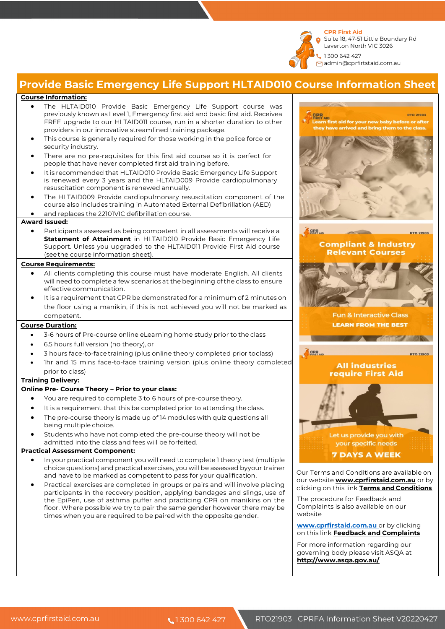**CPR First Aid**  Suite 18, 47-51 Little Boundary Rd

Laverton North VIC 3026 1 300 642 427

admin@cprfirtstaid.com.au

# **Provide Basic Emergency Life Support HLTAID010 Course Information Sheet**

### **Course Information:**

- The HLTAID010 Provide Basic Emergency Life Support course was previously known as Level 1, Emergency first aid and basic first aid. Receivea FREE upgrade to our HLTAID011 course, run in a shorter duration to other providers in our innovative streamlined training package.
- This course is generally required for those working in the police force or security industry.
- There are no pre-requisites for this first aid course so it is perfect for people that have never completed first aid training before.
- It is recommended that HLTAID010 Provide Basic Emergency Life Support is renewed every 3 years and the HLTAID009 Provide cardiopulmonary resuscitation component is renewed annually.
- The HLTAID009 Provide cardiopulmonary resuscitation component of the course also includes training in Automated External Defibrillation (AED)
- and replaces the 22101VIC defibrillation course.

#### **Award Issued:**

• Participants assessed as being competent in all assessments will receive a **Statement of Attainment** in HLTAID010 Provide Basic Emergency Life Support. Unless you upgraded to the HLTAID011 Provide First Aid course (see the course information sheet).

#### **Course Requirements:**

- All clients completing this course must have moderate English. All clients will need to complete a few scenarios at the beginning of the class to ensure effective communication.
- It is a requirement that CPR be demonstrated for a minimum of 2 minutes on the floor using a manikin, if this is not achieved you will not be marked as competent.

#### **Course Duration:**

- 3-6 hours of Pre-course online eLearning home study prior to the class
- 6.5 hours full version (no theory), or
- 3 hours face-to-face training (plus online theory completed prior toclass)
- Ihr and 15 mins face-to-face training version (plus online theory completed prior to class)

#### **Training Delivery:**

#### **Online Pre- Course Theory – Prior to your class:**

- You are required to complete 3 to 6 hours of pre-course theory.
- It is a requirement that this be completed prior to attending the class.
- The pre-course theory is made up of 14 modules with quiz questions all being multiple choice.
- Students who have not completed the pre-course theory will not be admitted into the class and fees will be forfeited.

#### **Practical Assessment Component:**

- In your practical component you will need to complete 1 theory test (multiple choice questions) and practical exercises, you will be assessed byyour trainer and have to be marked as competent to pass for your qualification.
- Practical exercises are completed in groups or pairs and will involve placing participants in the recovery position, applying bandages and slings, use of the EpiPen, use of asthma puffer and practicing CPR on manikins on the floor. Where possible we try to pair the same gender however there may be times when you are required to be paired with the opposite gender.



Our Terms and Conditions are available on our website **www.cprfirstaid.com.au** or by clicking on this link **Terms and Conditions**

The procedure for Feedback and Complaints is also available on our website

**www.cprfirstaid.com.au** or by clicking on this link **Feedback and Complaints**

For more information regarding our governing body please visit ASQA at **http://www.asqa.gov.au/**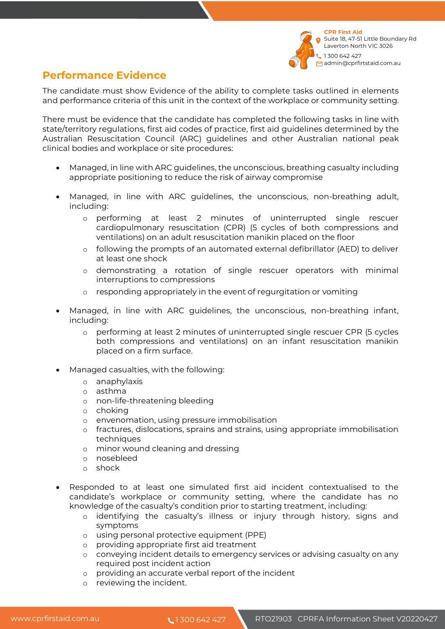

## **Performance Evidence**

The candidate must show Evidence of the ability to complete tasks outlined in elements and performance criteria of this unit in the context of the workplace or community setting.

There must be evidence that the candidate has completed the following tasks in line with state/territory regulations, first aid codes of practice, first aid guidelines determined by the Australian Resuscitation Council (ARC) guidelines and other Australian national peak clinical bodies and workplace or site procedures:

- Managed, in line with ARC guidelines, the unconscious, breathing casualty including appropriate positioning to reduce the risk of airway compromise
- Managed, in line with ARC guidelines, the unconscious, non-breathing adult, including:
	- o performing at least 2 minutes of uninterrupted single rescuer cardiopulmonary resuscitation (CPR) (5 cycles of both compressions and ventilations) on an adult resuscitation manikin placed on the floor
	- o following the prompts of an automated external defibrillator (AED) to deliver at least one shock
	- o demonstrating a rotation of single rescuer operators with minimal interruptions to compressions
	- o responding appropriately in the event of regurgitation or vomiting
- Managed, in line with ARC guidelines, the unconscious, non-breathing infant, including:
	- o performing at least 2 minutes of uninterrupted single rescuer CPR (5 cycles both compressions and ventilations) on an infant resuscitation manikin placed on a firm surface.
- Managed casualties, with the following:
	- o anaphylaxis
	- o asthma
	- o non-life-threatening bleeding
	- o choking
	- o envenomation, using pressure immobilisation
	- o fractures, dislocations, sprains and strains, using appropriate immobilisation techniques
	- o minor wound cleaning and dressing
	- o nosebleed
	- o shock
- Responded to at least one simulated first aid incident contextualised to the candidate's workplace or community setting, where the candidate has no knowledge of the casualty's condition prior to starting treatment, including:
	- o identifying the casualty's illness or injury through history, signs and symptoms
	- o using personal protective equipment (PPE)
	- o providing appropriate first aid treatment
	- o conveying incident details to emergency services or advising casualty on any required post incident action
	- o providing an accurate verbal report of the incident
	- o reviewing the incident.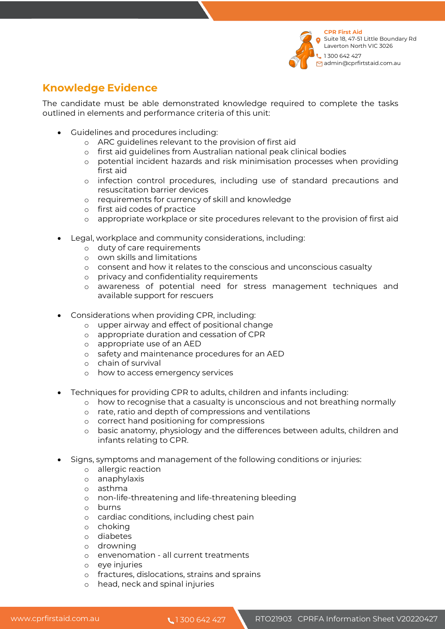

## **Knowledge Evidence**

The candidate must be able demonstrated knowledge required to complete the tasks outlined in elements and performance criteria of this unit:

- Guidelines and procedures including:
	- o ARC guidelines relevant to the provision of first aid
	- o first aid guidelines from Australian national peak clinical bodies
	- o potential incident hazards and risk minimisation processes when providing first aid
	- o infection control procedures, including use of standard precautions and resuscitation barrier devices
	- o requirements for currency of skill and knowledge
	- o first aid codes of practice
	- o appropriate workplace or site procedures relevant to the provision of first aid
- Legal, workplace and community considerations, including:
	- o duty of care requirements
	- o own skills and limitations
	- o consent and how it relates to the conscious and unconscious casualty
	- o privacy and confidentiality requirements
	- o awareness of potential need for stress management techniques and available support for rescuers
- Considerations when providing CPR, including:
	- o upper airway and effect of positional change
	- o appropriate duration and cessation of CPR
	- o appropriate use of an AED
	- o safety and maintenance procedures for an AED
	- o chain of survival
	- o how to access emergency services
- Techniques for providing CPR to adults, children and infants including:
	- o how to recognise that a casualty is unconscious and not breathing normally
	- o rate, ratio and depth of compressions and ventilations
	- o correct hand positioning for compressions
	- o basic anatomy, physiology and the differences between adults, children and infants relating to CPR.
- Signs, symptoms and management of the following conditions or injuries:
	- o allergic reaction
	- o anaphylaxis
	- o asthma
	- o non-life-threatening and life-threatening bleeding
	- o burns
	- o cardiac conditions, including chest pain
	- o choking
	- o diabetes
	- o drowning
	- o envenomation all current treatments
	- o eye injuries
	- o fractures, dislocations, strains and sprains
	- o head, neck and spinal injuries